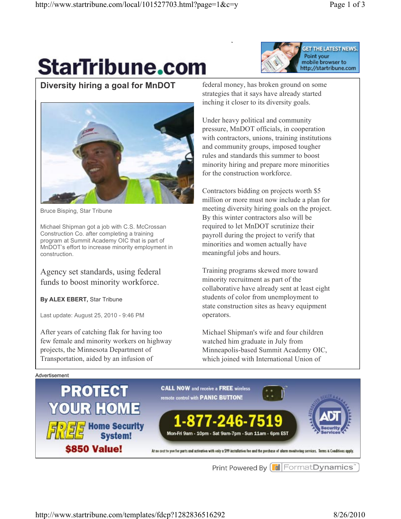## **StarTribune.com**



**Diversity hiring a goal for MnDOT**



Bruce Bisping, Star Tribune

Michael Shipman got a job with C.S. McCrossan Construction Co. after completing a training program at Summit Academy OIC that is part of MnDOT's effort to increase minority employment in construction.

Agency set standards, using federal funds to boost minority workforce.

**By ALEX EBERT,** Star Tribune

Last update: August 25, 2010 - 9:46 PM

After years of catching flak for having too few female and minority workers on highway projects, the Minnesota Department of Transportation, aided by an infusion of

federal money, has broken ground on some strategies that it says have already started inching it closer to its diversity goals.

Under heavy political and community pressure, MnDOT officials, in cooperation with contractors, unions, training institutions and community groups, imposed tougher rules and standards this summer to boost minority hiring and prepare more minorities for the construction workforce.

Contractors bidding on projects worth \$5 million or more must now include a plan for meeting diversity hiring goals on the project. By this winter contractors also will be required to let MnDOT scrutinize their payroll during the project to verify that minorities and women actually have meaningful jobs and hours.

Training programs skewed more toward minority recruitment as part of the collaborative have already sent at least eight students of color from unemployment to state construction sites as heavy equipment operators.

Michael Shipman's wife and four children watched him graduate in July from Minneapolis-based Summit Academy OIC, which joined with International Union of

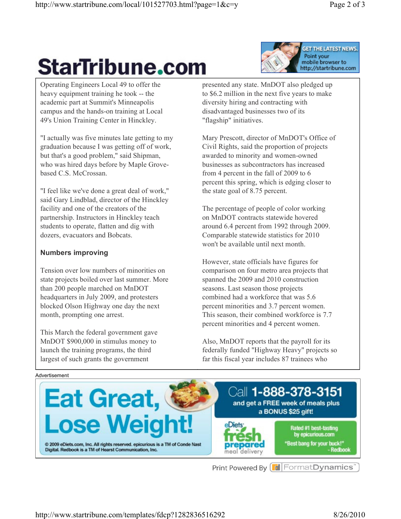# **StarTribune.com**

**GET THE LATEST NEWS.** Point your mobile browser to http://startribune.com

Operating Engineers Local 49 to offer the heavy equipment training he took -- the academic part at Summit's Minneapolis campus and the hands-on training at Local 49's Union Training Center in Hinckley.

"I actually was five minutes late getting to my graduation because I was getting off of work, but that's a good problem," said Shipman, who was hired days before by Maple Grovebased C.S. McCrossan.

"I feel like we've done a great deal of work," said Gary Lindblad, director of the Hinckley facility and one of the creators of the partnership. Instructors in Hinckley teach students to operate, flatten and dig with dozers, evacuators and Bobcats.

### **Numbers improving**

Tension over low numbers of minorities on state projects boiled over last summer. More than 200 people marched on MnDOT headquarters in July 2009, and protesters blocked Olson Highway one day the next month, prompting one arrest.

This March the federal government gave MnDOT \$900,000 in stimulus money to launch the training programs, the third largest of such grants the government

presented any state. MnDOT also pledged up to \$6.2 million in the next five years to make diversity hiring and contracting with disadvantaged businesses two of its "flagship" initiatives.

Mary Prescott, director of MnDOT's Office of Civil Rights, said the proportion of projects awarded to minority and women-owned businesses as subcontractors has increased from 4 percent in the fall of 2009 to 6 percent this spring, which is edging closer to the state goal of 8.75 percent.

The percentage of people of color working on MnDOT contracts statewide hovered around 6.4 percent from 1992 through 2009. Comparable statewide statistics for 2010 won't be available until next month.

However, state officials have figures for comparison on four metro area projects that spanned the 2009 and 2010 construction seasons. Last season those projects combined had a workforce that was 5.6 percent minorities and 3.7 percent women. This season, their combined workforce is 7.7 percent minorities and 4 percent women.

Also, MnDOT reports that the payroll for its federally funded "Highway Heavy" projects so far this fiscal year includes 87 trainees who